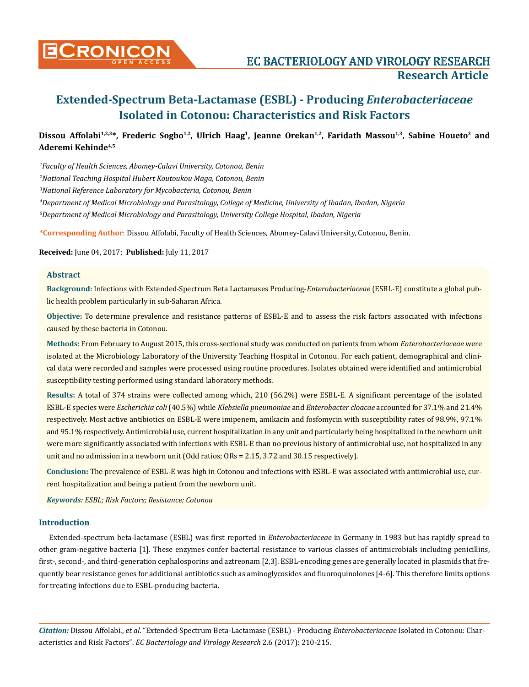

## Dissou Affolabi<sup>1,2,3\*</sup>, Frederic Sogbo<sup>1,2</sup>, Ulrich Haag<sup>1</sup>, Jeanne Orekan<sup>1,2</sup>, Faridath Massou<sup>1,3</sup>, Sabine Houeto<sup>3</sup> and **Aderemi Kehinde4,5**

*1 Faculty of Health Sciences, Abomey-Calavi University, Cotonou, Benin*

*2 National Teaching Hospital Hubert Koutoukou Maga, Cotonou, Benin*

*3 National Reference Laboratory for Mycobacteria, Cotonou, Benin*

*4 Department of Medical Microbiology and Parasitology, College of Medicine, University of Ibadan, Ibadan, Nigeria*

*5 Department of Medical Microbiology and Parasitology, University College Hospital, Ibadan, Nigeria*

**\*Corresponding Author**: Dissou Affolabi, Faculty of Health Sciences, Abomey-Calavi University, Cotonou, Benin.

**Received:** June 04, 2017; **Published:** July 11, 2017

#### **Abstract**

**Background:** Infections with Extended-Spectrum Beta Lactamases Producing-*Enterobacteriaceae* (ESBL-E) constitute a global public health problem particularly in sub-Saharan Africa.

**Objective:** To determine prevalence and resistance patterns of ESBL-E and to assess the risk factors associated with infections caused by these bacteria in Cotonou.

**Methods:** From February to August 2015, this cross-sectional study was conducted on patients from whom *Enterobacteriaceae* were isolated at the Microbiology Laboratory of the University Teaching Hospital in Cotonou. For each patient, demographical and clinical data were recorded and samples were processed using routine procedures. Isolates obtained were identified and antimicrobial susceptibility testing performed using standard laboratory methods.

**Results:** A total of 374 strains were collected among which, 210 (56.2%) were ESBL-E. A significant percentage of the isolated ESBL-E species were *Escherichia coli* (40.5%) while *Klebsiella pneumoniae* and *Enterobacter cloacae* accounted for 37.1% and 21.4% respectively. Most active antibiotics on ESBL-E were imipenem, amikacin and fosfomycin with susceptibility rates of 98.9%, 97.1% and 95.1% respectively. Antimicrobial use, current hospitalization in any unit and particularly being hospitalized in the newborn unit were more significantly associated with infections with ESBL-E than no previous history of antimicrobial use, not hospitalized in any unit and no admission in a newborn unit (Odd ratios; ORs = 2.15, 3.72 and 30.15 respectively).

**Conclusion:** The prevalence of ESBL-E was high in Cotonou and infections with ESBL-E was associated with antimicrobial use, current hospitalization and being a patient from the newborn unit.

*Keywords: ESBL; Risk Factors; Resistance; Cotonou*

#### **Introduction**

Extended-spectrum beta-lactamase (ESBL) was first reported in *Enterobacteriaceae* in Germany in 1983 but has rapidly spread to other gram-negative bacteria [1]. These enzymes confer bacterial resistance to various classes of antimicrobials including penicillins, first-, second-, and third-generation cephalosporins and aztreonam [2,3]. ESBL-encoding genes are generally located in plasmids that frequently bear resistance genes for additional antibiotics such as aminoglycosides and fluoroquinolones [4-6]. This therefore limits options for treating infections due to ESBL-producing bacteria.

*Citation:* Dissou Affolabi., *et al*. "Extended-Spectrum Beta-Lactamase (ESBL) - Producing *Enterobacteriaceae* Isolated in Cotonou: Characteristics and Risk Factors". *EC Bacteriology and Virology Research* 2.6 (2017): 210-215.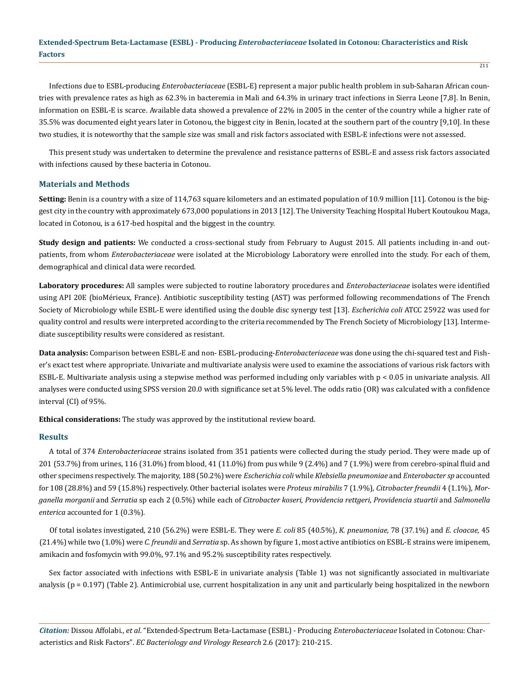Infections due to ESBL-producing *Enterobacteriaceae* (ESBL-E) represent a major public health problem in sub-Saharan African countries with prevalence rates as high as 62.3% in bacteremia in Mali and 64.3% in urinary tract infections in Sierra Leone [7,8]. In Benin, information on ESBL-E is scarce. Available data showed a prevalence of 22% in 2005 in the center of the country while a higher rate of 35.5% was documented eight years later in Cotonou, the biggest city in Benin, located at the southern part of the country [9,10]. In these two studies, it is noteworthy that the sample size was small and risk factors associated with ESBL-E infections were not assessed.

This present study was undertaken to determine the prevalence and resistance patterns of ESBL-E and assess risk factors associated with infections caused by these bacteria in Cotonou.

#### **Materials and Methods**

**Setting:** Benin is a country with a size of 114,763 square kilometers and an estimated population of 10.9 million [11]. Cotonou is the biggest city in the country with approximately 673,000 populations in 2013 [12]. The University Teaching Hospital Hubert Koutoukou Maga, located in Cotonou, is a 617-bed hospital and the biggest in the country.

**Study design and patients:** We conducted a cross-sectional study from February to August 2015. All patients including in-and outpatients, from whom *Enterobacteriaceae* were isolated at the Microbiology Laboratory were enrolled into the study. For each of them, demographical and clinical data were recorded.

**Laboratory procedures:** All samples were subjected to routine laboratory procedures and *Enterobacteriaceae* isolates were identified using API 20E (bioMérieux, France). Antibiotic susceptibility testing (AST) was performed following recommendations of The French Society of Microbiology while ESBL-E were identified using the double disc synergy test [13]. *Escherichia coli* ATCC 25922 was used for quality control and results were interpreted according to the criteria recommended by The French Society of Microbiology [13]. Intermediate susceptibility results were considered as resistant.

**Data analysis:** Comparison between ESBL-E and non- ESBL-producing-*Enterobacteriaceae* was done using the chi-squared test and Fisher's exact test where appropriate. Univariate and multivariate analysis were used to examine the associations of various risk factors with ESBL-E. Multivariate analysis using a stepwise method was performed including only variables with p < 0.05 in univariate analysis. All analyses were conducted using SPSS version 20.0 with significance set at 5% level. The odds ratio (OR) was calculated with a confidence interval (CI) of 95%.

**Ethical considerations:** The study was approved by the institutional review board.

#### **Results**

A total of 374 *Enterobacteriaceae* strains isolated from 351 patients were collected during the study period. They were made up of 201 (53.7%) from urines, 116 (31.0%) from blood, 41 (11.0%) from pus while 9 (2.4%) and 7 (1.9%) were from cerebro-spinal fluid and other specimens respectively. The majority, 188 (50.2%) were *Escherichia coli* while *Klebsiella pneumoniae* and *Enterobacter sp* accounted for 108 (28.8%) and 59 (15.8%) respectively. Other bacterial isolates were *Proteus mirabilis* 7 (1.9%), *Citrobacter freundii* 4 (1.1%), *Morganella morganii* and *Serratia* sp each 2 (0.5%) while each of *Citrobacter koseri*, *Providencia rettgeri*, *Providencia stuartii* and *Salmonella enterica* accounted for 1 (0.3%)*.*

Of total isolates investigated, 210 (56.2%) were ESBL-E. They were *E. coli* 85 (40.5%), *K. pneumoniae,* 78 (37.1%) and *E. cloacae,* 45 (21.4%) while two (1.0%) were *C. freundii* and *Serratia* sp. As shown by figure 1, most active antibiotics on ESBL-E strains were imipenem, amikacin and fosfomycin with 99.0%, 97.1% and 95.2% susceptibility rates respectively.

Sex factor associated with infections with ESBL-E in univariate analysis (Table 1) was not significantly associated in multivariate analysis (p = 0.197) (Table 2). Antimicrobial use, current hospitalization in any unit and particularly being hospitalized in the newborn

*Citation:* Dissou Affolabi., *et al*. "Extended-Spectrum Beta-Lactamase (ESBL) - Producing *Enterobacteriaceae* Isolated in Cotonou: Characteristics and Risk Factors". *EC Bacteriology and Virology Research* 2.6 (2017): 210-215.

211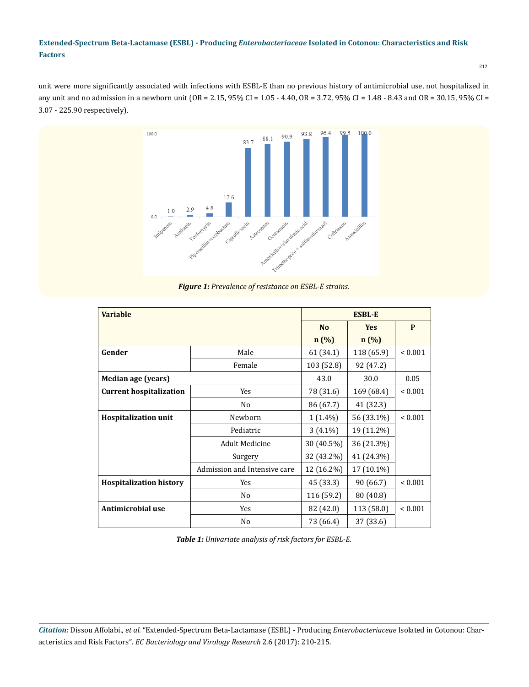212

unit were more significantly associated with infections with ESBL-E than no previous history of antimicrobial use, not hospitalized in any unit and no admission in a newborn unit (OR = 2.15, 95% CI = 1.05 - 4.40, OR = 3.72, 95% CI = 1.48 - 8.43 and OR = 30.15, 95% CI = 3.07 - 225.90 respectively).



*Figure 1: Prevalence of resistance on ESBL-E strains.*

| <b>Variable</b>                |                              | <b>ESBL-E</b> |            |              |
|--------------------------------|------------------------------|---------------|------------|--------------|
|                                |                              | <b>No</b>     | <b>Yes</b> | P            |
|                                |                              | n(%)          | n(%)       |              |
| Gender                         | Male                         | 61 (34.1)     | 118 (65.9) | ${}_{0.001}$ |
|                                | Female                       | 103 (52.8)    | 92 (47.2)  |              |
| Median age (years)             |                              | 43.0          | 30.0       | 0.05         |
| <b>Current hospitalization</b> | <b>Yes</b>                   | 78 (31.6)     | 169 (68.4) | ${}_{0.001}$ |
|                                | No                           | 86 (67.7)     | 41 (32.3)  |              |
| <b>Hospitalization unit</b>    | Newborn                      | $1(1.4\%)$    | 56 (33.1%) | ${}_{0.001}$ |
|                                | Pediatric                    | $3(4.1\%)$    | 19 (11.2%) |              |
|                                | <b>Adult Medicine</b>        | 30 (40.5%)    | 36 (21.3%) |              |
|                                | Surgery                      | 32 (43.2%)    | 41 (24.3%) |              |
|                                | Admission and Intensive care | 12 (16.2%)    | 17 (10.1%) |              |
| <b>Hospitalization history</b> | Yes                          | 45 (33.3)     | 90 (66.7)  | ${}_{0.001}$ |
|                                | No                           | 116 (59.2)    | 80 (40.8)  |              |
| Antimicrobial use              | Yes                          | 82 (42.0)     | 113 (58.0) | ${}_{0.001}$ |
|                                | No                           | 73 (66.4)     | 37 (33.6)  |              |

*Table 1: Univariate analysis of risk factors for ESBL-E.*

*Citation:* Dissou Affolabi., *et al*. "Extended-Spectrum Beta-Lactamase (ESBL) - Producing *Enterobacteriaceae* Isolated in Cotonou: Characteristics and Risk Factors". *EC Bacteriology and Virology Research* 2.6 (2017): 210-215.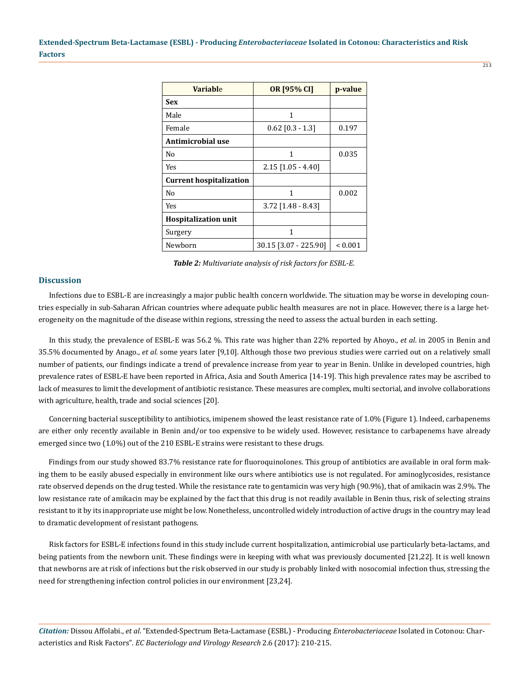| <b>Variable</b>                | OR [95% CI]           | p-value      |
|--------------------------------|-----------------------|--------------|
| Sex                            |                       |              |
| Male                           | 1                     |              |
| Female                         | $0.62$ [0.3 - 1.3]    | 0.197        |
| Antimicrobial use              |                       |              |
| No                             | 1                     | 0.035        |
| Yes                            | $2.15$ [1.05 - 4.40]  |              |
| <b>Current hospitalization</b> |                       |              |
| No                             | 1                     | 0.002        |
| Yes                            | $3.72$ [1.48 - 8.43]  |              |
| <b>Hospitalization unit</b>    |                       |              |
| Surgery                        | 1                     |              |
| Newborn                        | 30.15 [3.07 - 225.90] | ${}_{0.001}$ |

*Table 2: Multivariate analysis of risk factors for ESBL-E.*

#### **Discussion**

Infections due to ESBL-E are increasingly a major public health concern worldwide. The situation may be worse in developing countries especially in sub-Saharan African countries where adequate public health measures are not in place. However, there is a large heterogeneity on the magnitude of the disease within regions, stressing the need to assess the actual burden in each setting.

In this study, the prevalence of ESBL-E was 56.2 %. This rate was higher than 22% reported by Ahoyo., *et al*. in 2005 in Benin and 35.5% documented by Anago., *et al.* some years later [9,10]. Although those two previous studies were carried out on a relatively small number of patients, our findings indicate a trend of prevalence increase from year to year in Benin. Unlike in developed countries, high prevalence rates of ESBL-E have been reported in Africa, Asia and South America [14-19]. This high prevalence rates may be ascribed to lack of measures to limit the development of antibiotic resistance. These measures are complex, multi sectorial, and involve collaborations with agriculture, health, trade and social sciences [20].

Concerning bacterial susceptibility to antibiotics, imipenem showed the least resistance rate of 1.0% (Figure 1). Indeed, carbapenems are either only recently available in Benin and/or too expensive to be widely used. However, resistance to carbapenems have already emerged since two (1.0%) out of the 210 ESBL-E strains were resistant to these drugs.

Findings from our study showed 83.7% resistance rate for fluoroquinolones. This group of antibiotics are available in oral form making them to be easily abused especially in environment like ours where antibiotics use is not regulated. For aminoglycosides, resistance rate observed depends on the drug tested. While the resistance rate to gentamicin was very high (90.9%), that of amikacin was 2.9%. The low resistance rate of amikacin may be explained by the fact that this drug is not readily available in Benin thus, risk of selecting strains resistant to it by its inappropriate use might be low. Nonetheless, uncontrolled widely introduction of active drugs in the country may lead to dramatic development of resistant pathogens.

Risk factors for ESBL-E infections found in this study include current hospitalization, antimicrobial use particularly beta-lactams, and being patients from the newborn unit. These findings were in keeping with what was previously documented [21,22]. It is well known that newborns are at risk of infections but the risk observed in our study is probably linked with nosocomial infection thus, stressing the need for strengthening infection control policies in our environment [23,24].

*Citation:* Dissou Affolabi., *et al*. "Extended-Spectrum Beta-Lactamase (ESBL) - Producing *Enterobacteriaceae* Isolated in Cotonou: Characteristics and Risk Factors". *EC Bacteriology and Virology Research* 2.6 (2017): 210-215.

213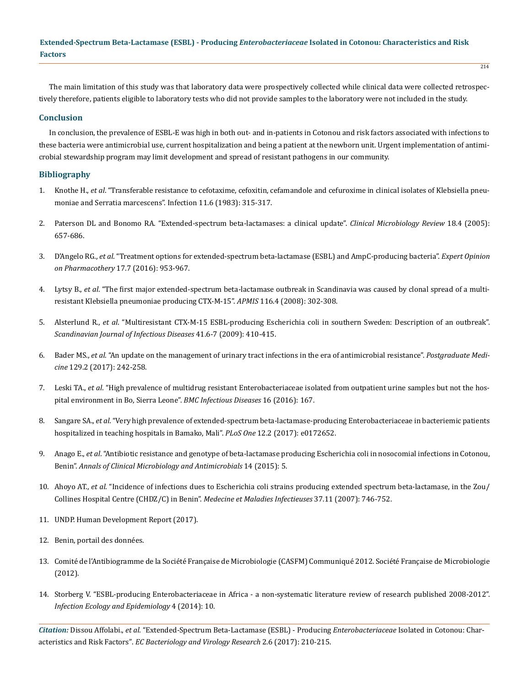The main limitation of this study was that laboratory data were prospectively collected while clinical data were collected retrospectively therefore, patients eligible to laboratory tests who did not provide samples to the laboratory were not included in the study.

#### **Conclusion**

In conclusion, the prevalence of ESBL-E was high in both out- and in-patients in Cotonou and risk factors associated with infections to these bacteria were antimicrobial use, current hospitalization and being a patient at the newborn unit. Urgent implementation of antimicrobial stewardship program may limit development and spread of resistant pathogens in our community.

## **Bibliography**

- 1. Knothe H., *et al*[. "Transferable resistance to cefotaxime, cefoxitin, cefamandole and cefuroxime in clinical isolates of Klebsiella pneu](https://www.ncbi.nlm.nih.gov/pubmed/6321357)[moniae and Serratia marcescens". Infection 11.6 \(1983\): 315-317.](https://www.ncbi.nlm.nih.gov/pubmed/6321357)
- 2. [Paterson DL and Bonomo RA. "Extended-spectrum beta-lactamases: a clinical update".](https://www.ncbi.nlm.nih.gov/pubmed/16223952) *Clinical Microbiology Review* 18.4 (2005): [657-686.](https://www.ncbi.nlm.nih.gov/pubmed/16223952)
- 3. D'Angelo RG., *et al*[. "Treatment options for extended-spectrum beta-lactamase \(ESBL\) and AmpC-producing bacteria".](https://www.ncbi.nlm.nih.gov/pubmed/26891857) *Expert Opinion [on Pharmacothery](https://www.ncbi.nlm.nih.gov/pubmed/26891857)* 17.7 (2016): 953-967.
- 4. Lytsy B., *et al*[. "The first major extended-spectrum beta-lactamase outbreak in Scandinavia was caused by clonal spread of a multi](https://www.ncbi.nlm.nih.gov/pubmed/18397465)[resistant Klebsiella pneumoniae producing CTX-M-15".](https://www.ncbi.nlm.nih.gov/pubmed/18397465) *APMIS* 116.4 (2008): 302-308.
- 5. Alsterlund R., *et al*[. "Multiresistant CTX-M-15 ESBL-producing Escherichia coli in southern Sweden: Description of an outbreak".](https://www.ncbi.nlm.nih.gov/pubmed/19396721)  *[Scandinavian Journal of Infectious Diseases](https://www.ncbi.nlm.nih.gov/pubmed/19396721)* 41.6-7 (2009): 410-415.
- 6. Bader MS., *et al*[. "An update on the management of urinary tract infections in the era of antimicrobial resistance".](https://www.ncbi.nlm.nih.gov/pubmed/27712137) *Postgraduate Medicine* [129.2 \(2017\): 242-258.](https://www.ncbi.nlm.nih.gov/pubmed/27712137)
- 7. Leski TA., *et al*[. "High prevalence of multidrug resistant Enterobacteriaceae isolated from outpatient urine samples but not the hos](https://www.ncbi.nlm.nih.gov/pubmed/27090787)[pital environment in Bo, Sierra Leone".](https://www.ncbi.nlm.nih.gov/pubmed/27090787) *BMC Infectious Diseases* 16 (2016): 167.
- 8. Sangare SA., *et al*[. "Very high prevalence of extended-spectrum beta-lactamase-producing Enterobacteriaceae in bacteriemic patients](https://www.ncbi.nlm.nih.gov/pubmed/28245252)  [hospitalized in teaching hospitals in Bamako, Mali".](https://www.ncbi.nlm.nih.gov/pubmed/28245252) *PLoS One* 12.2 (2017): e0172652.
- 9. Anago E., *et al*[. "Antibiotic resistance and genotype of beta-lactamase producing Escherichia coli in nosocomial infections in Cotonou,](https://www.ncbi.nlm.nih.gov/pmc/articles/PMC4304606/) Benin". *[Annals of Clinical Microbiology and Antimicrobials](https://www.ncbi.nlm.nih.gov/pmc/articles/PMC4304606/)* 14 (2015): 5.
- 10. Ahoyo AT., *et al*[. "Incidence of infections dues to Escherichia coli strains producing extended spectrum beta-lactamase, in the Zou/](https://www.ncbi.nlm.nih.gov/pubmed/17434702) [Collines Hospital Centre \(CHDZ/C\) in Benin".](https://www.ncbi.nlm.nih.gov/pubmed/17434702) *Medecine et Maladies Infectieuses* 37.11 (2007): 746-752.
- 11. [UNDP. Human Development Report \(2017\).](http://www.hdr.undp.org/en/countries/profiles/BEN)
- 12. [Benin, portail des données.](http://benin.opendataforafrica.org/)
- 13. [Comité de l'Antibiogramme de la Société Française de Microbiologie \(CASFM\) Communiqué 2012. Société Française de Microbiologie](http://www.sfm-microbiologie.org/UserFiles/files/casfm/CASFM_2012.pdf) [\(2012\).](http://www.sfm-microbiologie.org/UserFiles/files/casfm/CASFM_2012.pdf)
- 14. [Storberg V. "ESBL-producing Enterobacteriaceae in Africa a non-systematic literature review of research published 2008-2012".](https://www.ncbi.nlm.nih.gov/pmc/articles/PMC3955770/) *[Infection Ecology and Epidemiology](https://www.ncbi.nlm.nih.gov/pmc/articles/PMC3955770/)* 4 (2014): 10.

*Citation:* Dissou Affolabi., *et al*. "Extended-Spectrum Beta-Lactamase (ESBL) - Producing *Enterobacteriaceae* Isolated in Cotonou: Characteristics and Risk Factors". *EC Bacteriology and Virology Research* 2.6 (2017): 210-215.